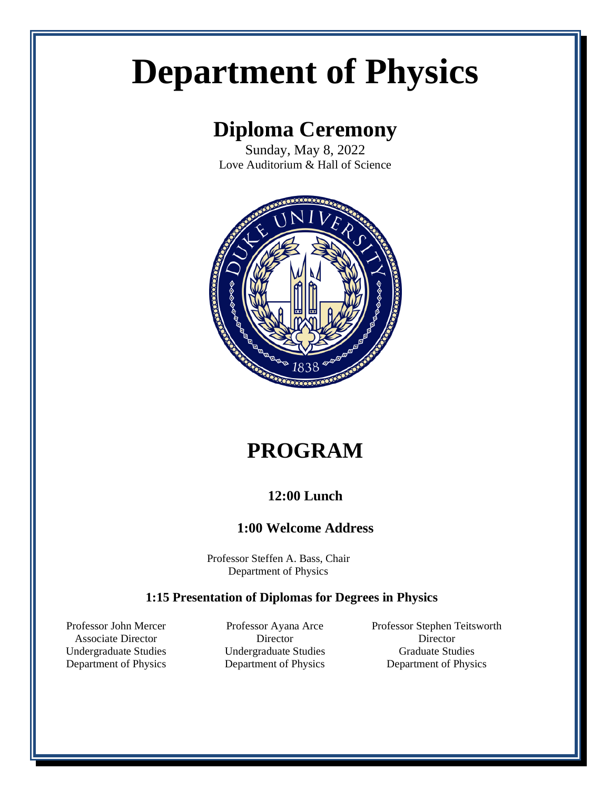# **Department of Physics**

## **Diploma Ceremony**

Sunday, May 8, 2022 Love Auditorium & Hall of Science



# **PROGRAM**

#### **12:00 Lunch**

#### **1:00 Welcome Address**

Professor Steffen A. Bass, Chair Department of Physics

#### **1:15 Presentation of Diplomas for Degrees in Physics**

Professor John Mercer Associate Director Undergraduate Studies Department of Physics

Professor Ayana Arce **Director** Undergraduate Studies Department of Physics

Professor Stephen Teitsworth Director Graduate Studies Department of Physics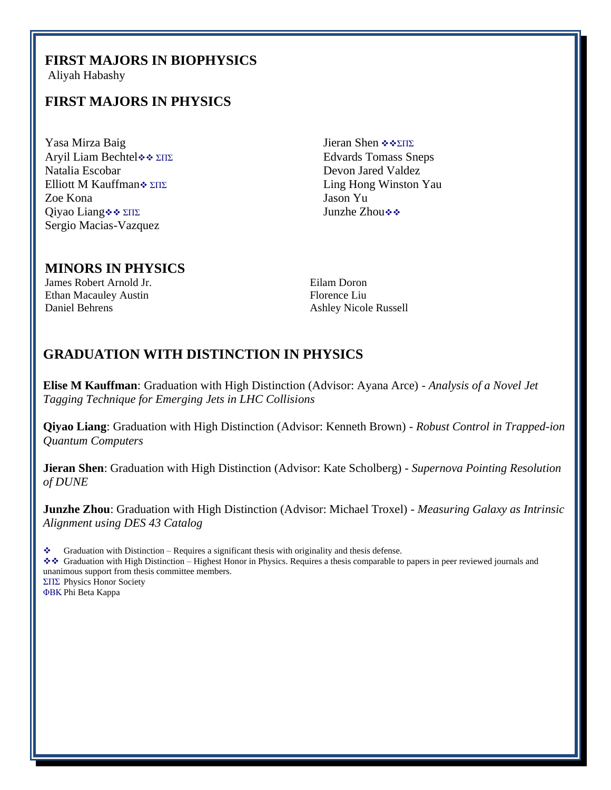#### **FIRST MAJORS IN BIOPHYSICS**

Aliyah Habashy

#### **FIRST MAJORS IN PHYSICS**

Yasa Mirza Baig Aryil Liam Bechtel❖❖ ΣΠΣ Natalia Escobar Elliott M Kauffman❖ ΣΠΣ Zoe Kona Qiyao Liang❖❖ ΣΠΣ Sergio Macias-Vazquez

Jieran Shen ❖❖ΣΠΣ Edvards Tomass Sneps Devon Jared Valdez Ling Hong Winston Yau Jason Yu Junzhe Zhou❖❖

#### **MINORS IN PHYSICS**

James Robert Arnold Jr. Ethan Macauley Austin Daniel Behrens

Eilam Doron Florence Liu Ashley Nicole Russell

#### **GRADUATION WITH DISTINCTION IN PHYSICS**

**Elise M Kauffman**: Graduation with High Distinction (Advisor: Ayana Arce) - *Analysis of a Novel Jet Tagging Technique for Emerging Jets in LHC Collisions*

**Qiyao Liang**: Graduation with High Distinction (Advisor: Kenneth Brown) - *Robust Control in Trapped-ion Quantum Computers*

**Jieran Shen**: Graduation with High Distinction (Advisor: Kate Scholberg) - *Supernova Pointing Resolution of DUNE*

**Junzhe Zhou**: Graduation with High Distinction (Advisor: Michael Troxel) - *Measuring Galaxy as Intrinsic Alignment using DES 43 Catalog*

Graduation with Distinction – Requires a significant thesis with originality and thesis defense.

❖❖ Graduation with High Distinction – Highest Honor in Physics. Requires a thesis comparable to papers in peer reviewed journals and unanimous support from thesis committee members. ΣΠΣ Physics Honor Society

ΦΒΚ Phi Beta Kappa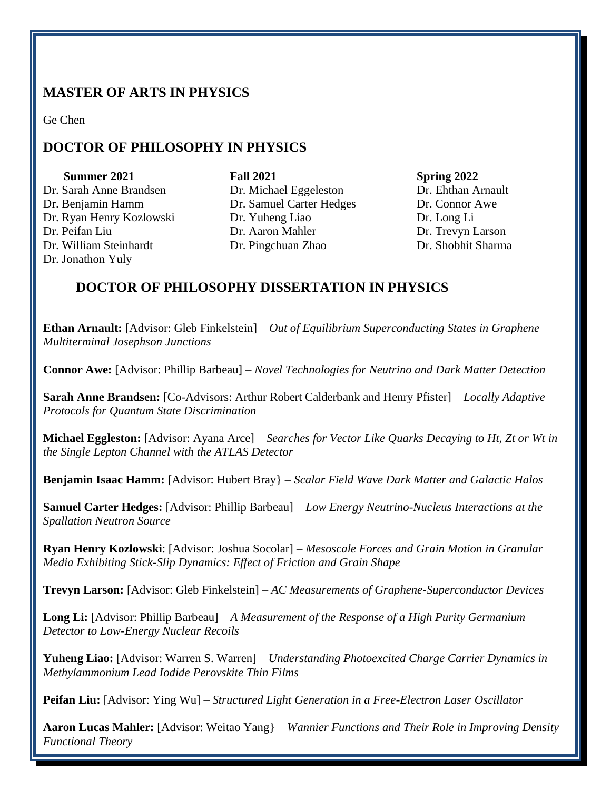### **MASTER OF ARTS IN PHYSICS**

Ge Chen

## **DOCTOR OF PHILOSOPHY IN PHYSICS**

**Summer 2021** Dr. Sarah Anne Brandsen Dr. Benjamin Hamm Dr. Ryan Henry Kozlowski Dr. Peifan Liu Dr. William Steinhardt Dr. Jonathon Yuly

**Fall 2021** Dr. Michael Eggeleston Dr. Samuel Carter Hedges Dr. Yuheng Liao Dr. Aaron Mahler Dr. Pingchuan Zhao

**Spring 2022** Dr. Ehthan Arnault Dr. Connor Awe Dr. Long Li Dr. Trevyn Larson Dr. Shobhit Sharma

#### **DOCTOR OF PHILOSOPHY DISSERTATION IN PHYSICS**

**Ethan Arnault:** [Advisor: Gleb Finkelstein] – *Out of Equilibrium Superconducting States in Graphene Multiterminal Josephson Junctions*

**Connor Awe:** [Advisor: Phillip Barbeau] – *Novel Technologies for Neutrino and Dark Matter Detection*

**Sarah Anne Brandsen:** [Co-Advisors: Arthur Robert Calderbank and Henry Pfister] – *Locally Adaptive Protocols for Quantum State Discrimination* 

**Michael Eggleston:** [Advisor: Ayana Arce] – *Searches for Vector Like Quarks Decaying to Ht, Zt or Wt in the Single Lepton Channel with the ATLAS Detector*

**Benjamin Isaac Hamm:** [Advisor: Hubert Bray} – *Scalar Field Wave Dark Matter and Galactic Halos*

**Samuel Carter Hedges:** [Advisor: Phillip Barbeau] – *Low Energy Neutrino-Nucleus Interactions at the Spallation Neutron Source*

**Ryan Henry Kozlowski**: [Advisor: Joshua Socolar] – *Mesoscale Forces and Grain Motion in Granular Media Exhibiting Stick-Slip Dynamics: Effect of Friction and Grain Shape*

**Trevyn Larson:** [Advisor: Gleb Finkelstein] – *AC Measurements of Graphene-Superconductor Devices*

**Long Li:** [Advisor: Phillip Barbeau] – *A Measurement of the Response of a High Purity Germanium Detector to Low-Energy Nuclear Recoils*

**Yuheng Liao:** [Advisor: Warren S. Warren] – *Understanding Photoexcited Charge Carrier Dynamics in Methylammonium Lead Iodide Perovskite Thin Films*

**Peifan Liu:** [Advisor: Ying Wu] – *Structured Light Generation in a Free-Electron Laser Oscillator*

**Aaron Lucas Mahler:** [Advisor: Weitao Yang} – *Wannier Functions and Their Role in Improving Density Functional Theory*